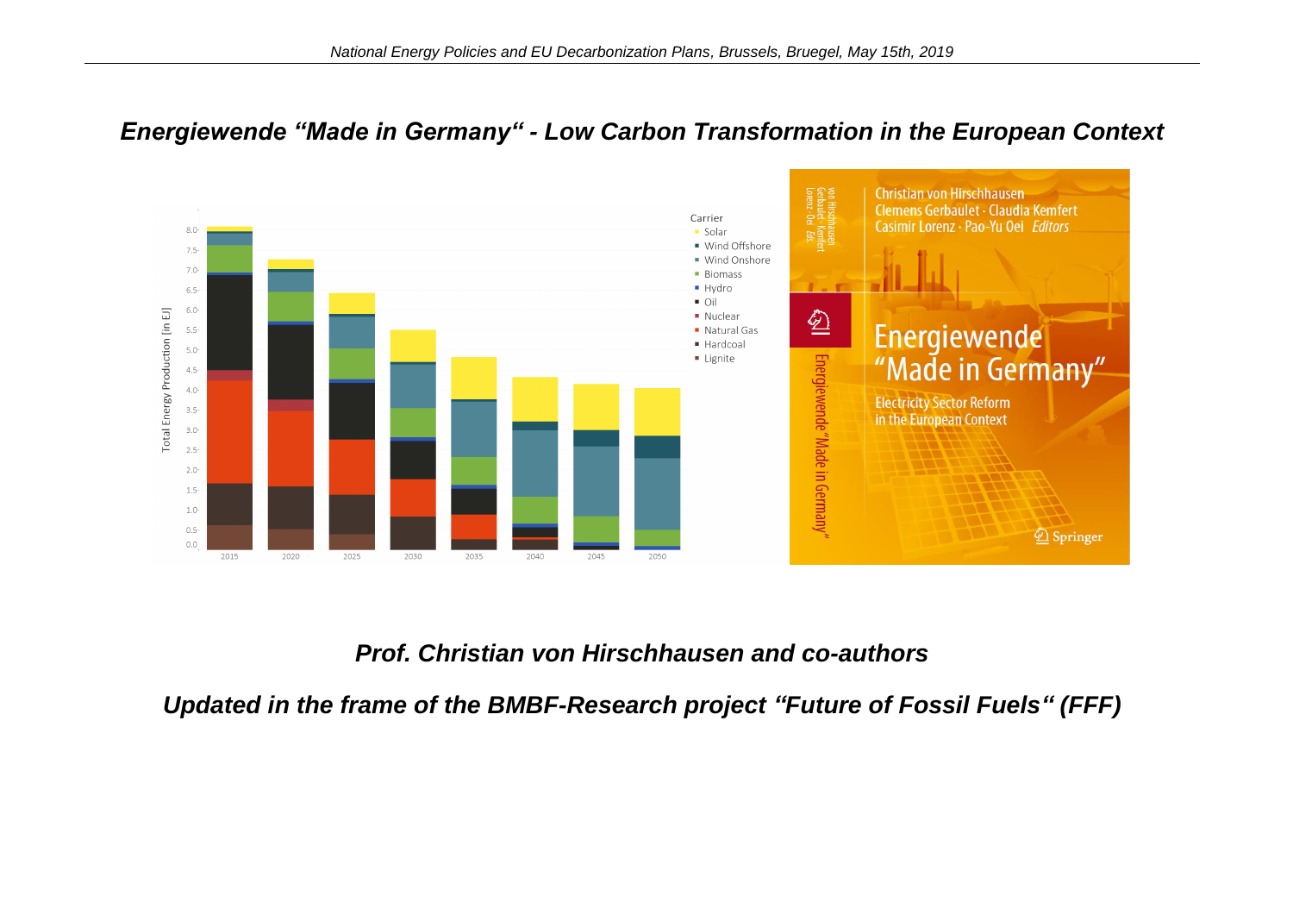### *Energiewende "Made in Germany" - Low Carbon Transformation in the European Context*



## *Prof. Christian von Hirschhausen and co-authors*

*Updated in the frame of the BMBF-Research project "Future of Fossil Fuels" (FFF)*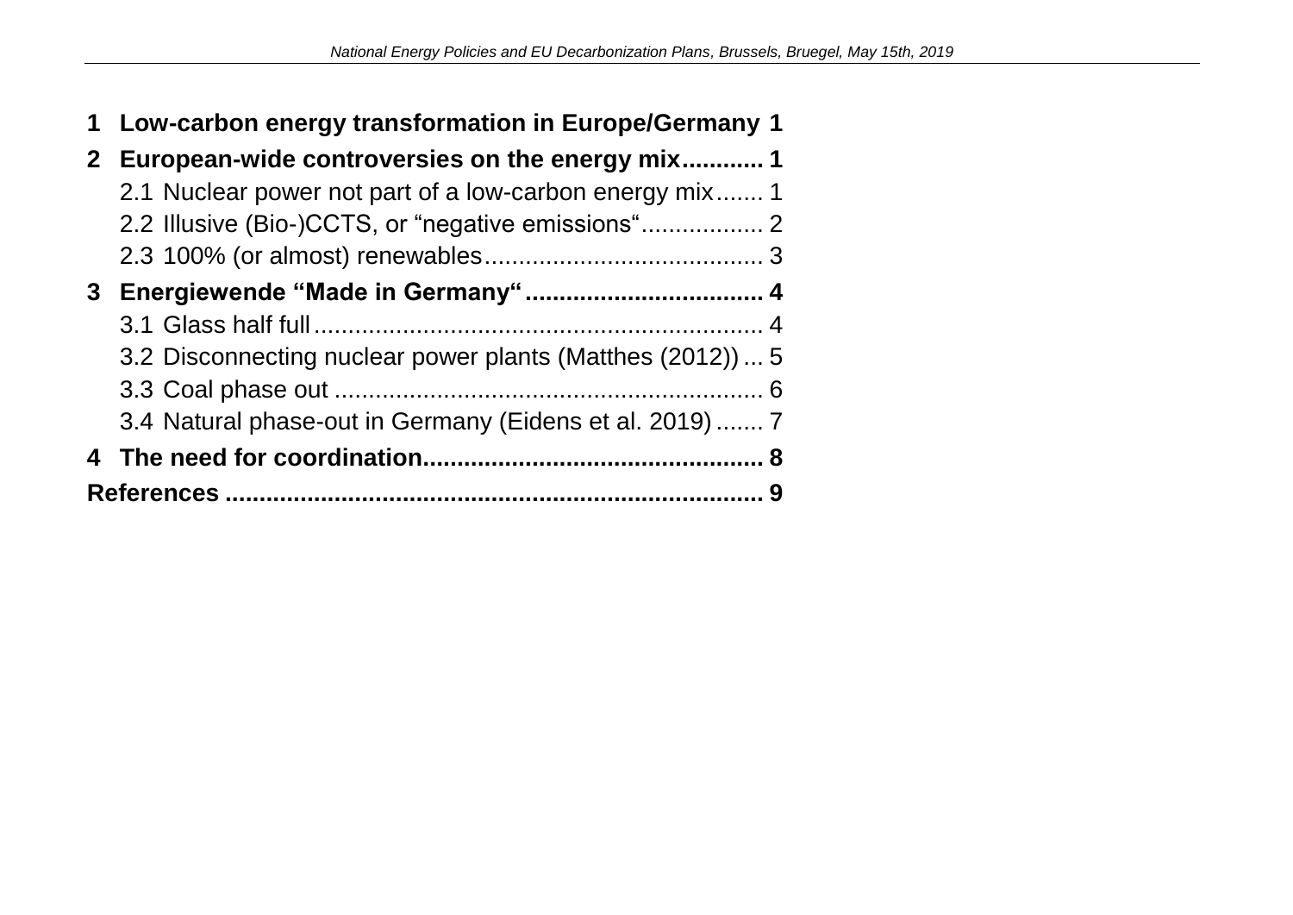| 1            | Low-carbon energy transformation in Europe/Germany 1       |  |  |  |  |
|--------------|------------------------------------------------------------|--|--|--|--|
| $\mathbf{2}$ | European-wide controversies on the energy mix1             |  |  |  |  |
|              | 2.1 Nuclear power not part of a low-carbon energy mix 1    |  |  |  |  |
|              | 2.2 Illusive (Bio-)CCTS, or "negative emissions"           |  |  |  |  |
|              |                                                            |  |  |  |  |
| 3            |                                                            |  |  |  |  |
|              |                                                            |  |  |  |  |
|              | 3.2 Disconnecting nuclear power plants (Matthes (2012))  5 |  |  |  |  |
|              |                                                            |  |  |  |  |
|              | 3.4 Natural phase-out in Germany (Eidens et al. 2019)  7   |  |  |  |  |
|              |                                                            |  |  |  |  |
|              |                                                            |  |  |  |  |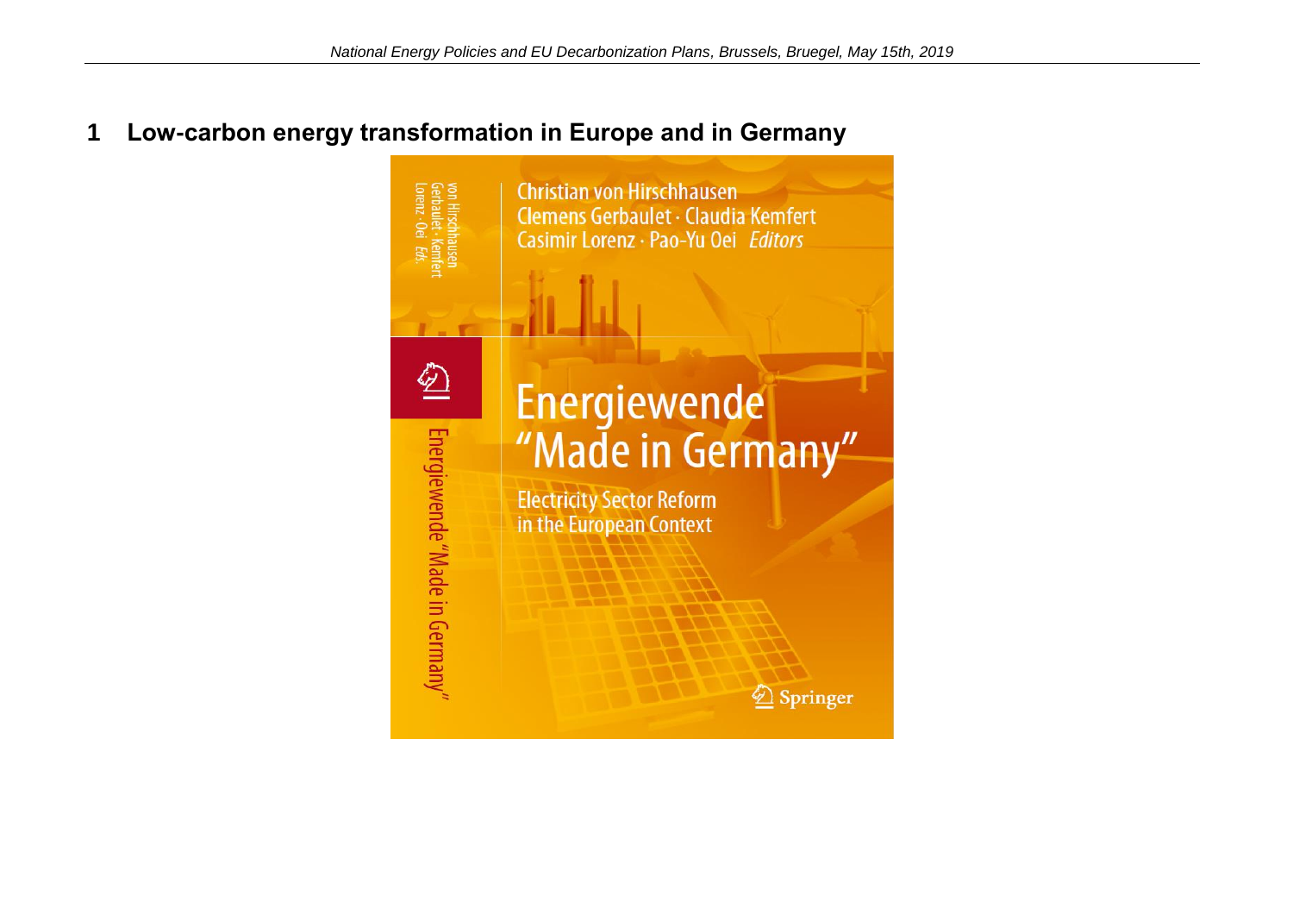## <span id="page-2-0"></span>**1 Low-carbon energy transformation in Europe and in Germany**

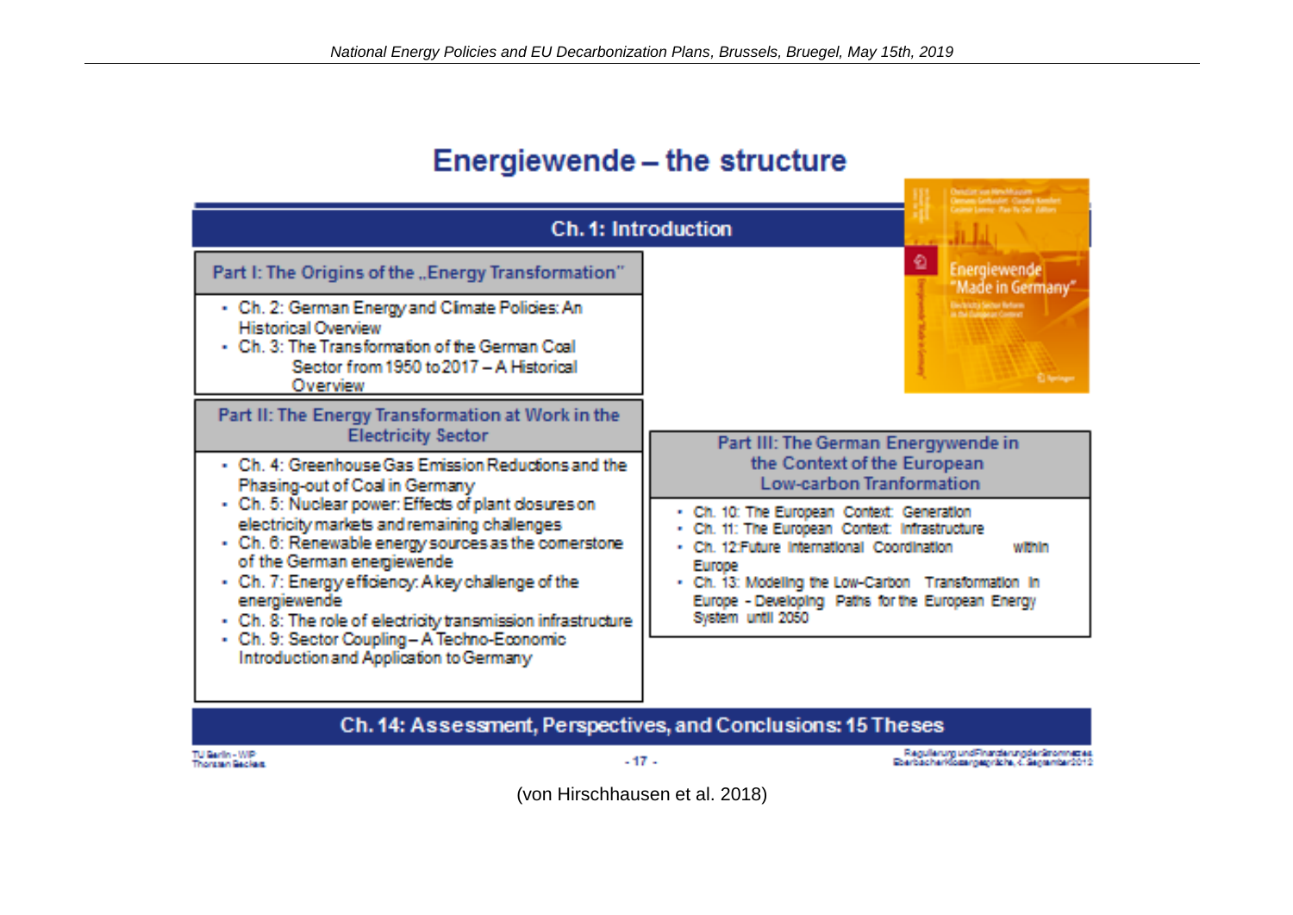# Energiewende - the structure

| Ch. 1: Introduction                                                                                                                                                                                                                                                                                                                                                                                                                                                                                                 | <b>Contactive Classific</b>                                                                                                                                                                                                                                                                                                                                              |  |  |  |  |  |
|---------------------------------------------------------------------------------------------------------------------------------------------------------------------------------------------------------------------------------------------------------------------------------------------------------------------------------------------------------------------------------------------------------------------------------------------------------------------------------------------------------------------|--------------------------------------------------------------------------------------------------------------------------------------------------------------------------------------------------------------------------------------------------------------------------------------------------------------------------------------------------------------------------|--|--|--|--|--|
| Part I: The Origins of the "Energy Transformation"<br>- Ch. 2: German Energy and Climate Policies: An<br><b>Historical Overview</b><br>$\cdot$ Ch. 3: The Transformation of the German Coal<br>Sector from 1950 to 2017 - A Historical<br>Overview                                                                                                                                                                                                                                                                  | €<br>Energiewende<br>"Made in Germany"<br>Discovery Sector Reform<br><b>C. Bantinger</b>                                                                                                                                                                                                                                                                                 |  |  |  |  |  |
| Part II: The Energy Transformation at Work in the<br><b>Electricity Sector</b>                                                                                                                                                                                                                                                                                                                                                                                                                                      | Part III: The German Energywende in                                                                                                                                                                                                                                                                                                                                      |  |  |  |  |  |
| - Ch. 4: Greenhouse Gas Emission Reductions and the<br>Phasing-out of Coal in Germany<br>- Ch. 5: Nuclear power: Effects of plant closures on<br>electricity markets and remaining challenges<br>- Ch. 6: Renewable energy sources as the comerstone<br>of the German energiewende<br>- Ch. 7: Energy efficiency: A key challenge of the<br>energiewende<br>- Ch. 8: The role of electricity transmission infrastructure<br>- Ch. 9: Sector Coupling - A Techno-Economic<br>Introduction and Application to Germany | the Context of the European<br><b>Low-carbon Tranformation</b><br>. Ch. 10: The European Context: Generation<br>. Ch. 11: The European Context: Infrastructure<br>· Ch. 12 Future International Coordination<br>within<br><b>Furner</b><br>. Ch. 13: Modeling the Low-Carbon Transformation in<br>Europe - Developing Paths for the European Energy<br>System until 2050 |  |  |  |  |  |
| Ch. 14: Assessment, Perspectives, and Conclusions: 15 Theses                                                                                                                                                                                                                                                                                                                                                                                                                                                        |                                                                                                                                                                                                                                                                                                                                                                          |  |  |  |  |  |

TU Barlin - WIP<br>Thomas Backer

 $-17 -$ 

Regularum und Finanziarung der Stromneziae<br>Eberbacher Kozar gegribbe, 4. Segermber 2012

(von Hirschhausen et al. 2018)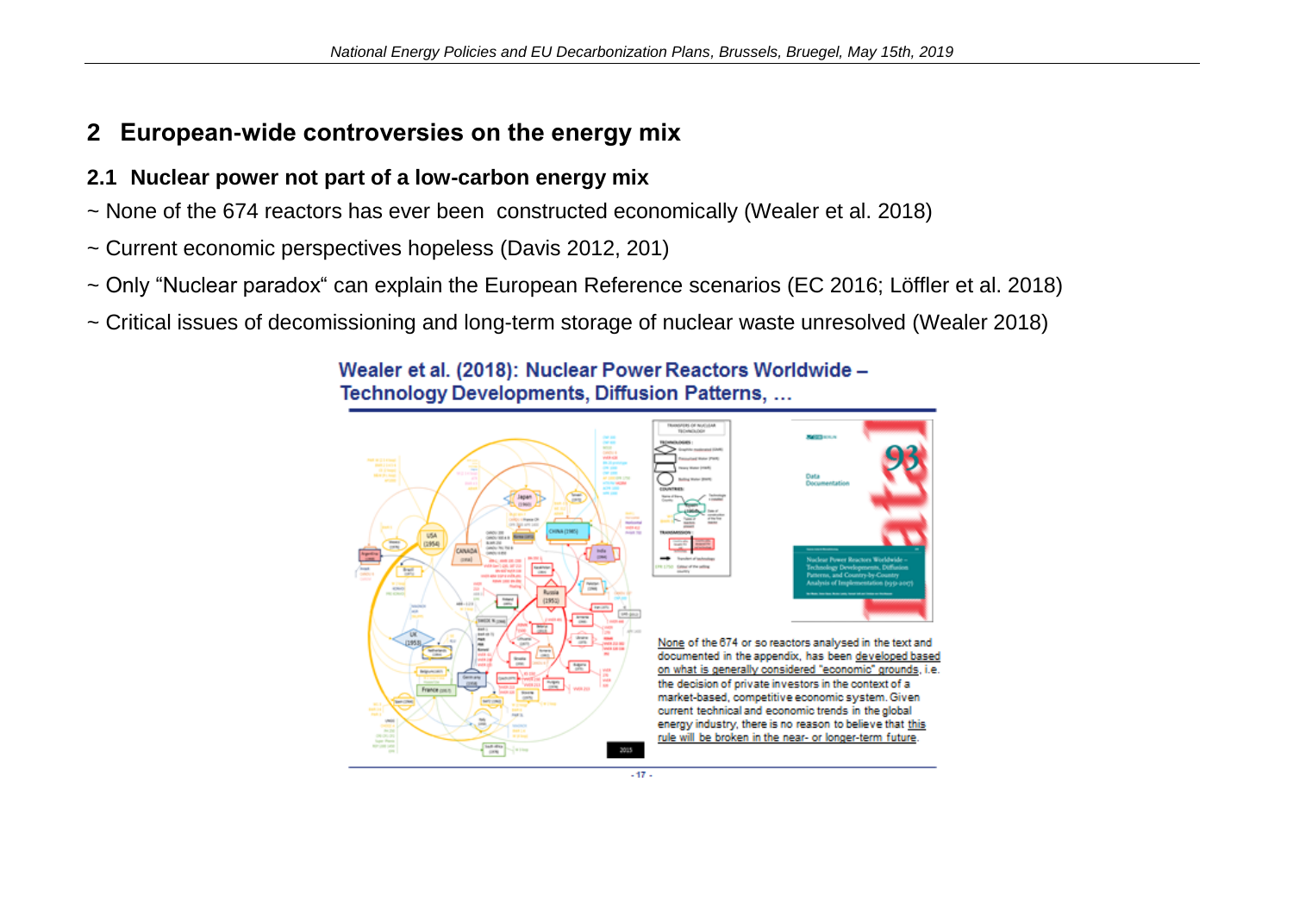# <span id="page-4-0"></span>**2 European-wide controversies on the energy mix**

#### <span id="page-4-1"></span>**2.1 Nuclear power not part of a low-carbon energy mix**

- ~ None of the 674 reactors has ever been constructed economically (Wealer et al. 2018)
- ~ Current economic perspectives hopeless (Davis 2012, 201)
- ~ Only "Nuclear paradox" can explain the European Reference scenarios (EC 2016; Löffler et al. 2018)
- ~ Critical issues of decomissioning and long-term storage of nuclear waste unresolved (Wealer 2018)



Wealer et al. (2018): Nuclear Power Reactors Worldwide -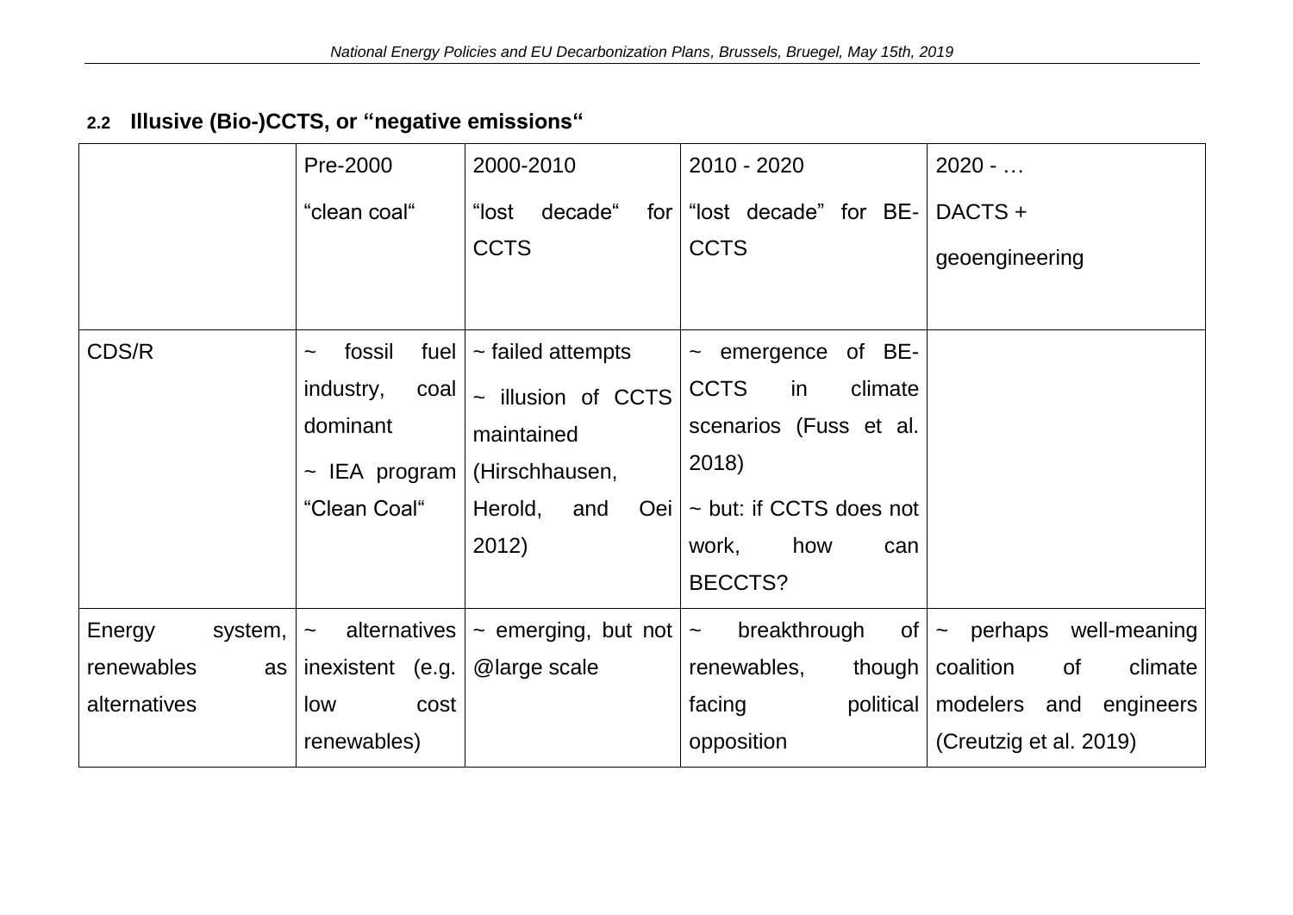# <span id="page-5-0"></span>**2.2 Illusive (Bio-)CCTS, or "negative emissions"**

|                   | Pre-2000               | 2000-2010                | 2010 - 2020                                    | $2020 - $                              |
|-------------------|------------------------|--------------------------|------------------------------------------------|----------------------------------------|
|                   | "clean coal"           | decade"<br>"lost<br>for  | "lost decade" for BE-                          | DACTS +                                |
|                   |                        | <b>CCTS</b>              | <b>CCTS</b>                                    | geoengineering                         |
|                   |                        |                          |                                                |                                        |
| CDS/R             | fossil<br>fuel         | $\sim$ failed attempts   | of BE-<br>$\sim$ emergence                     |                                        |
|                   | industry,<br>coal      | ~ illusion of CCTS       | <b>CCTS</b><br>climate<br>in                   |                                        |
|                   | dominant               | maintained               | scenarios (Fuss et al.                         |                                        |
|                   | $\sim$ IEA program     | (Hirschhausen,           | 2018)                                          |                                        |
|                   | "Clean Coal"           | Herold,<br>and<br>Oei    | ~ but: if CCTS does not                        |                                        |
|                   |                        | 2012)                    | how<br>work,<br>can                            |                                        |
|                   |                        |                          | <b>BECCTS?</b>                                 |                                        |
| Energy<br>system, | alternatives<br>$\sim$ | $\sim$ emerging, but not | breakthrough<br>of <sub>l</sub><br>$\thicksim$ | perhaps<br>well-meaning<br>$\thicksim$ |
| renewables<br>as  | inexistent (e.g.       | @large scale             | renewables,<br>though                          | coalition<br><b>of</b><br>climate      |
| alternatives      | cost<br>low            |                          | political<br>facing                            | modelers and engineers                 |
| renewables)       |                        | opposition               | (Creutzig et al. 2019)                         |                                        |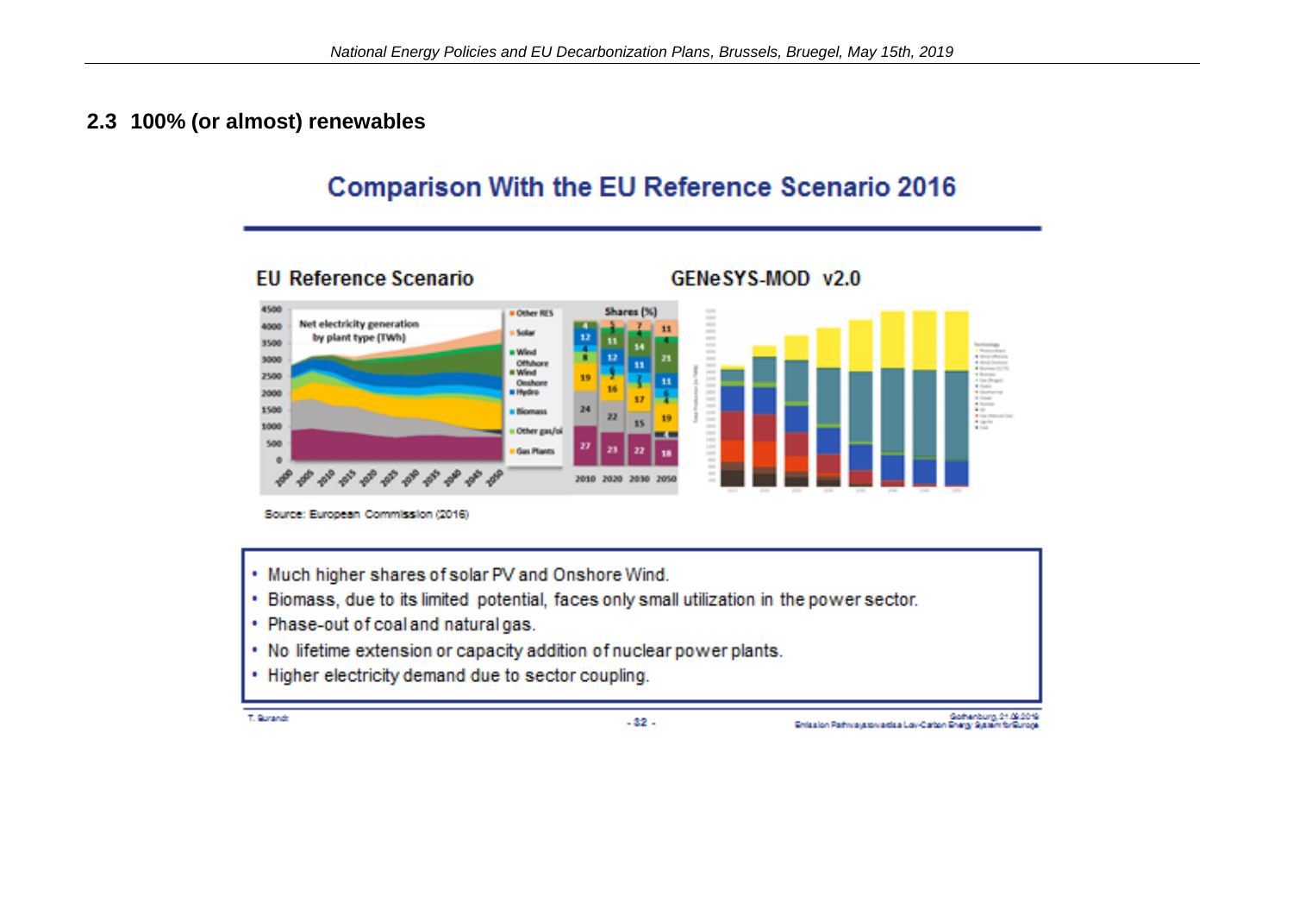#### <span id="page-6-0"></span>**2.3 100% (or almost) renewables**

# **Comparison With the EU Reference Scenario 2016**



Source: European Commission (2016)

- . Much higher shares of solar PV and Onshore Wind.
- Biomass, due to its limited potential, faces only small utilization in the power sector.
- Phase-out of coal and natural gas.
- No lifetime extension or capacity addition of nuclear power plants.
- Higher electricity demand due to sector coupling.

T. Burando

 $-32 -$ 

Gothenburg, 21.09.2019<br>Gotherlon Pathways towards a Low-Carlon Ghergy System forGunope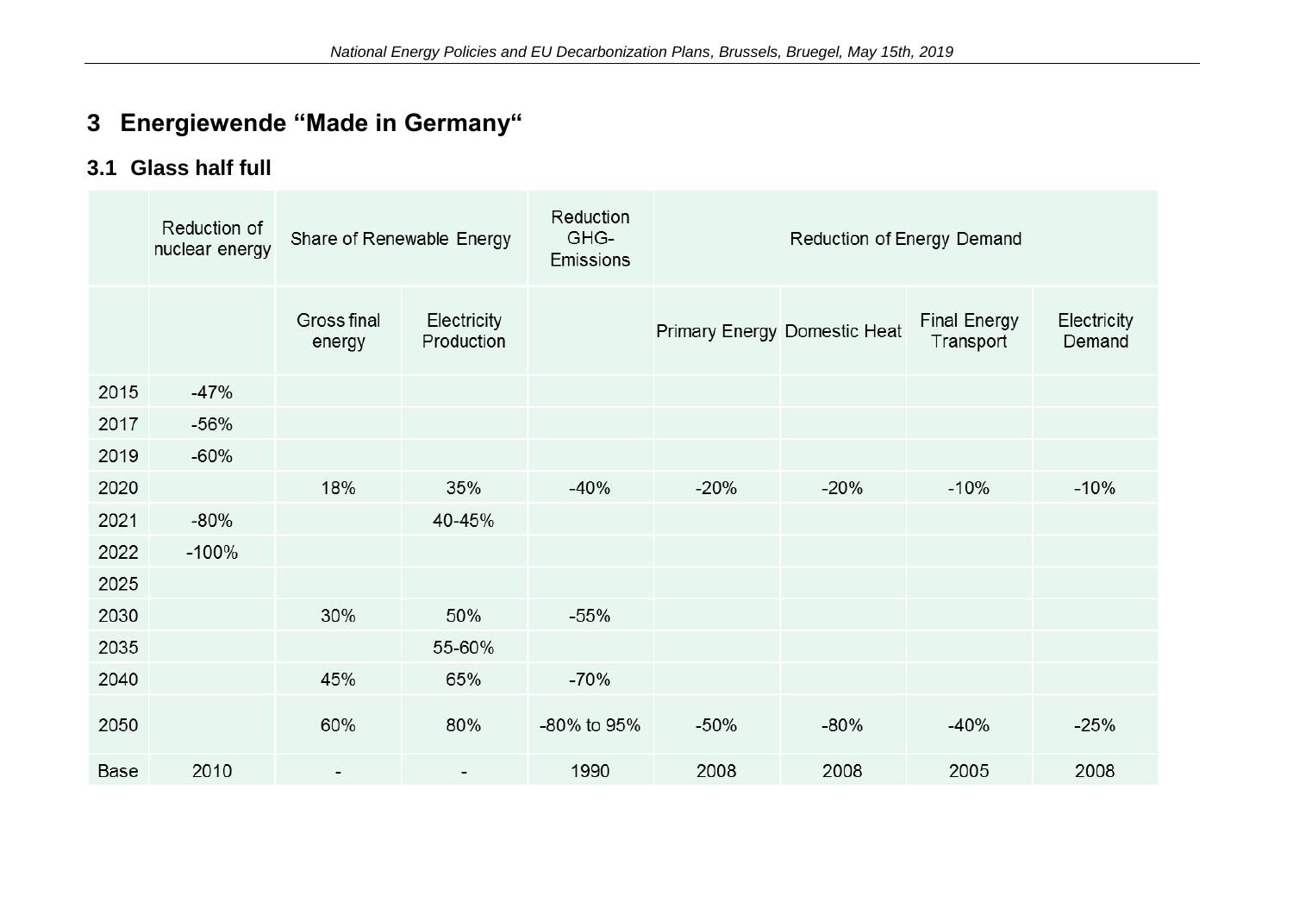# <span id="page-7-0"></span>**3 Energiewende "Made in Germany"**

# <span id="page-7-1"></span>**3.1 Glass half full**

|      | Reduction of<br>nuclear energy | Share of Renewable Energy |                           | Reduction<br>GHG-<br>Emissions | Reduction of Energy Demand   |        |                                  |                       |
|------|--------------------------------|---------------------------|---------------------------|--------------------------------|------------------------------|--------|----------------------------------|-----------------------|
|      |                                | Gross final<br>energy     | Electricity<br>Production |                                | Primary Energy Domestic Heat |        | <b>Final Energy</b><br>Transport | Electricity<br>Demand |
| 2015 | $-47%$                         |                           |                           |                                |                              |        |                                  |                       |
| 2017 | $-56%$                         |                           |                           |                                |                              |        |                                  |                       |
| 2019 | $-60%$                         |                           |                           |                                |                              |        |                                  |                       |
| 2020 |                                | 18%                       | 35%                       | $-40%$                         | $-20%$                       | $-20%$ | $-10%$                           | $-10%$                |
| 2021 | $-80%$                         |                           | 40-45%                    |                                |                              |        |                                  |                       |
| 2022 | $-100%$                        |                           |                           |                                |                              |        |                                  |                       |
| 2025 |                                |                           |                           |                                |                              |        |                                  |                       |
| 2030 |                                | 30%                       | 50%                       | $-55%$                         |                              |        |                                  |                       |
| 2035 |                                |                           | 55-60%                    |                                |                              |        |                                  |                       |
| 2040 |                                | 45%                       | 65%                       | $-70%$                         |                              |        |                                  |                       |
| 2050 |                                | 60%                       | 80%                       | -80% to 95%                    | $-50%$                       | $-80%$ | $-40%$                           | $-25%$                |
| Base | 2010                           |                           |                           | 1990                           | 2008                         | 2008   | 2005                             | 2008                  |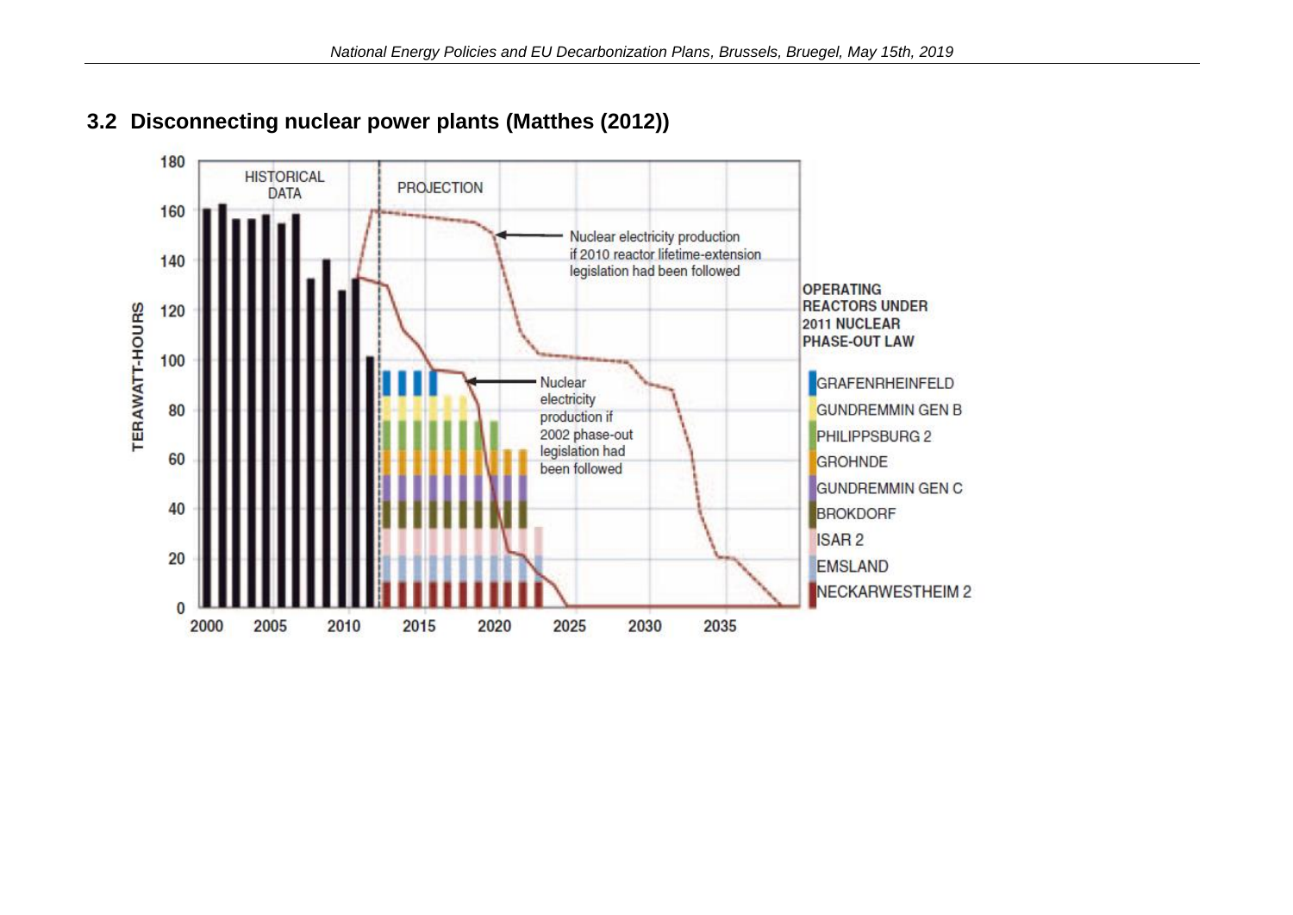

### <span id="page-8-0"></span>**3.2 Disconnecting nuclear power plants (Matthes (2012))**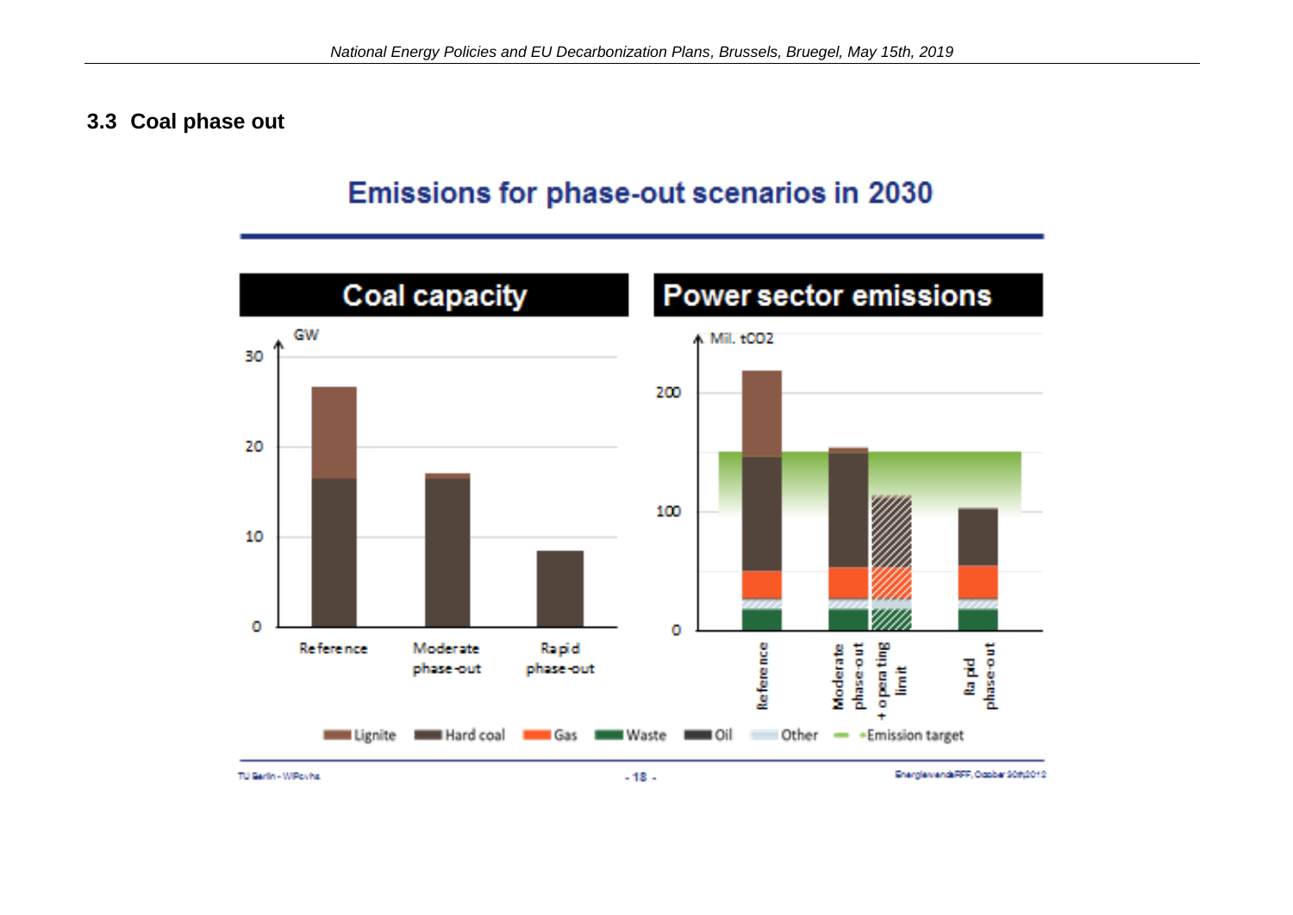#### <span id="page-9-0"></span>**3.3 Coal phase out**

# Emissions for phase-out scenarios in 2030



TU Garlin - WiPowha

EnergiervendeRFF, October 90th2012.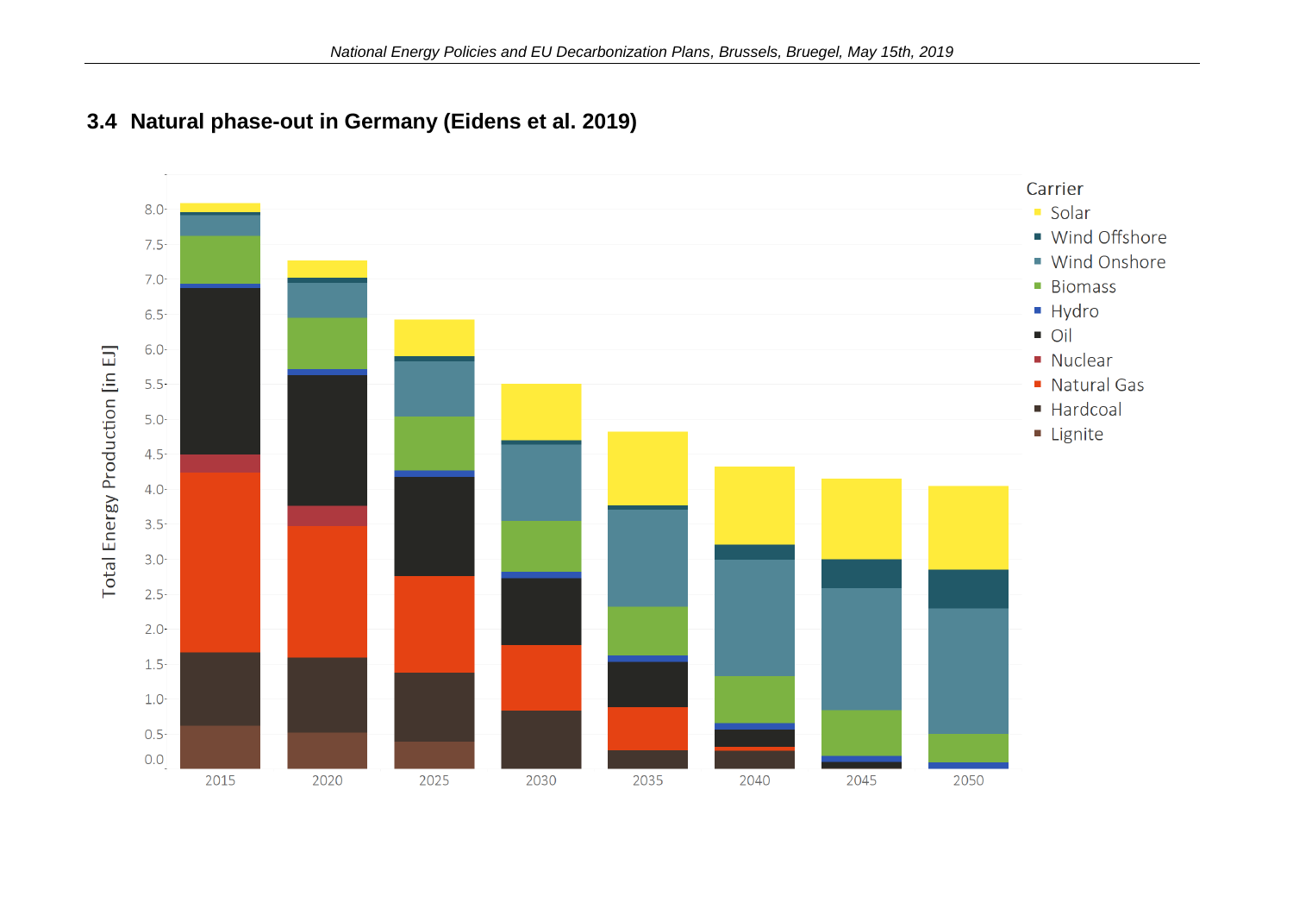

## <span id="page-10-0"></span>**3.4 Natural phase-out in Germany (Eidens et al. 2019)**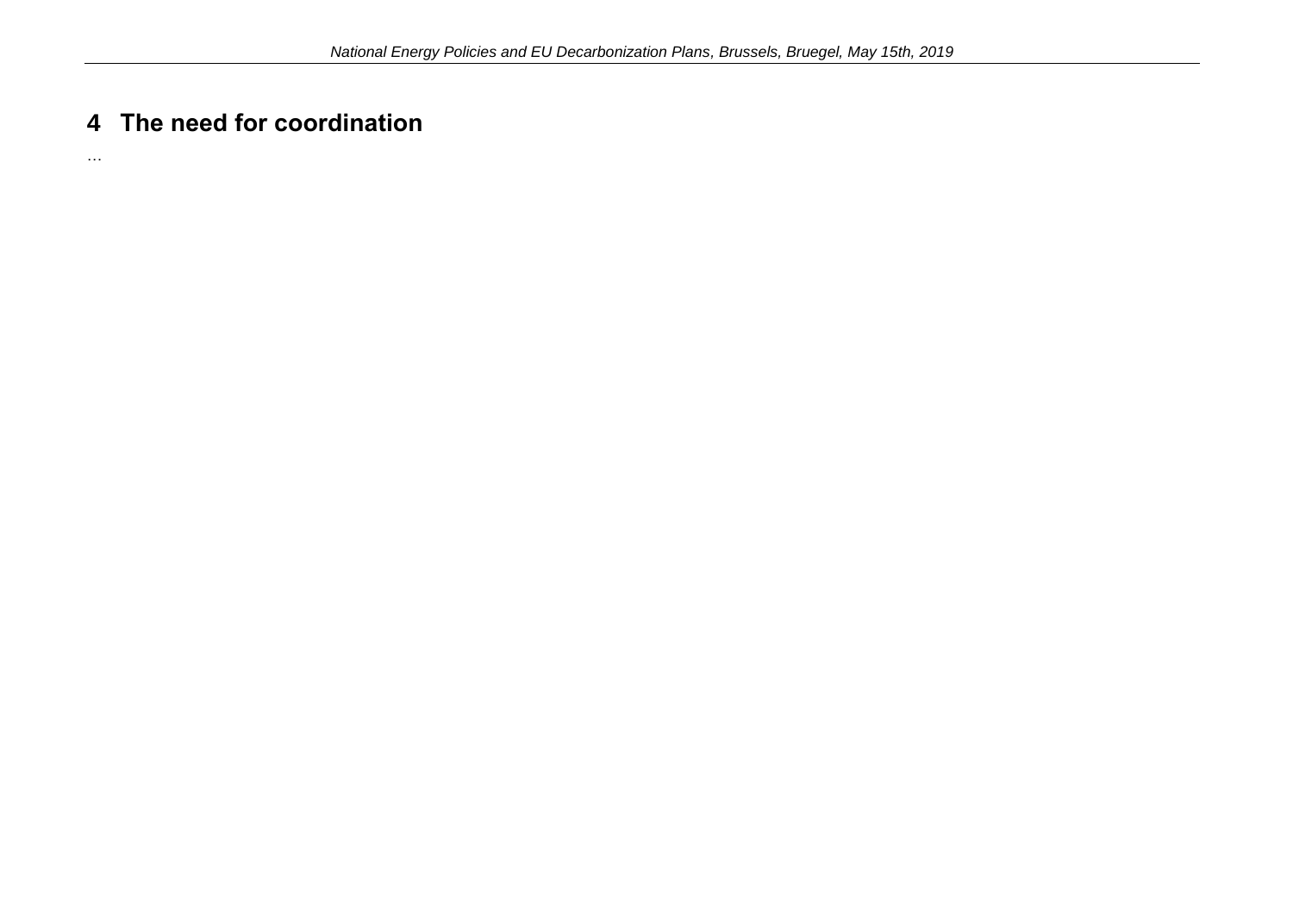# <span id="page-11-0"></span>**4 The need for coordination**

…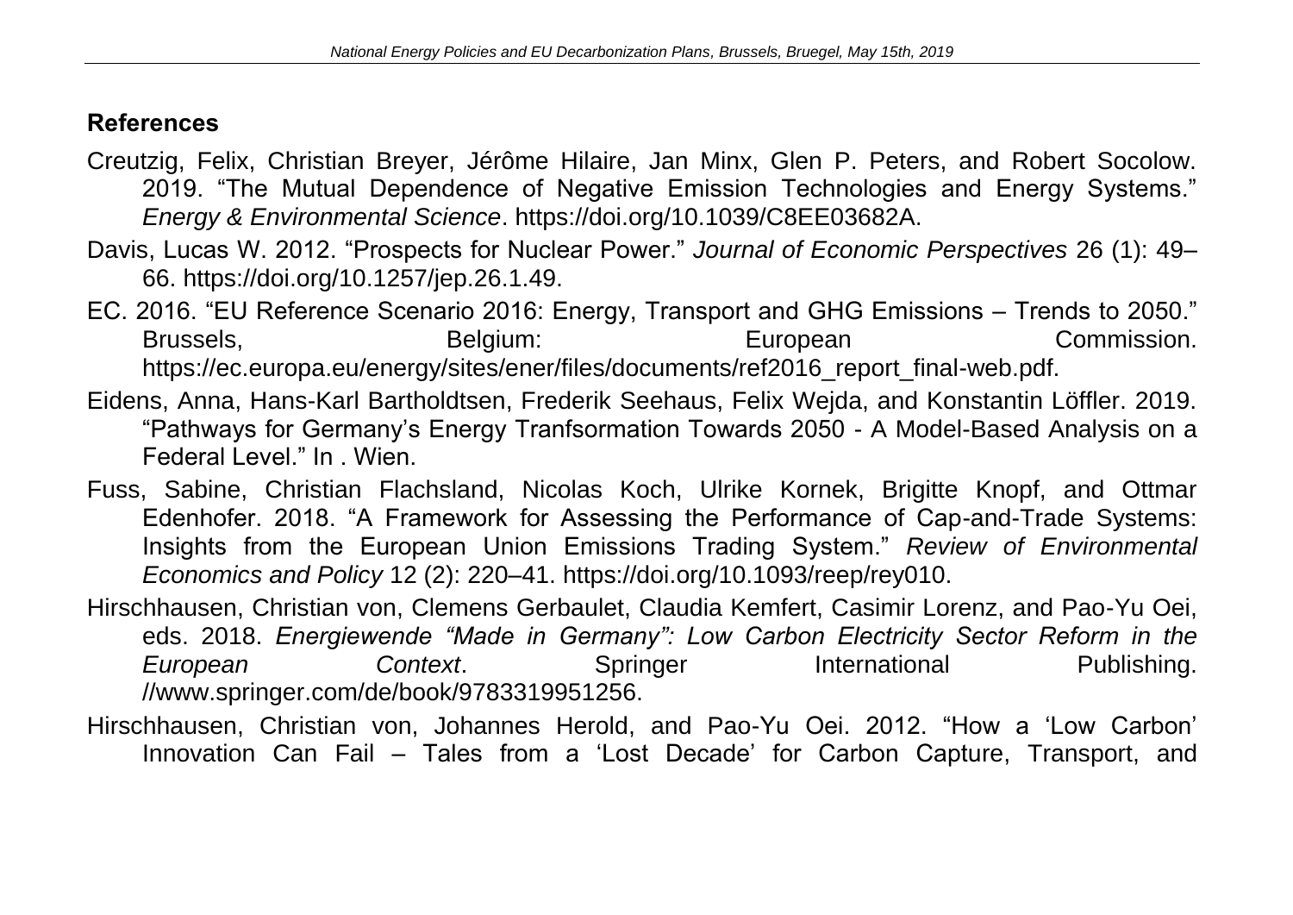# <span id="page-12-0"></span>**References**

- Creutzig, Felix, Christian Breyer, Jérôme Hilaire, Jan Minx, Glen P. Peters, and Robert Socolow. 2019. "The Mutual Dependence of Negative Emission Technologies and Energy Systems." *Energy & Environmental Science*. https://doi.org/10.1039/C8EE03682A.
- Davis, Lucas W. 2012. "Prospects for Nuclear Power." *Journal of Economic Perspectives* 26 (1): 49– 66. https://doi.org/10.1257/jep.26.1.49.
- EC. 2016. "EU Reference Scenario 2016: Energy, Transport and GHG Emissions Trends to 2050." Brussels, European European Commission. https://ec.europa.eu/energy/sites/ener/files/documents/ref2016\_report\_final-web.pdf.
- Eidens, Anna, Hans-Karl Bartholdtsen, Frederik Seehaus, Felix Wejda, and Konstantin Löffler. 2019. "Pathways for Germany's Energy Tranfsormation Towards 2050 - A Model-Based Analysis on a Federal Level." In . Wien.
- Fuss, Sabine, Christian Flachsland, Nicolas Koch, Ulrike Kornek, Brigitte Knopf, and Ottmar Edenhofer. 2018. "A Framework for Assessing the Performance of Cap-and-Trade Systems: Insights from the European Union Emissions Trading System." *Review of Environmental Economics and Policy* 12 (2): 220–41. https://doi.org/10.1093/reep/rey010.
- Hirschhausen, Christian von, Clemens Gerbaulet, Claudia Kemfert, Casimir Lorenz, and Pao-Yu Oei, eds. 2018. *Energiewende "Made in Germany": Low Carbon Electricity Sector Reform in the*  **European Context.** Springer International Publishing. //www.springer.com/de/book/9783319951256.
- Hirschhausen, Christian von, Johannes Herold, and Pao-Yu Oei. 2012. "How a 'Low Carbon' Innovation Can Fail – Tales from a 'Lost Decade' for Carbon Capture, Transport, and